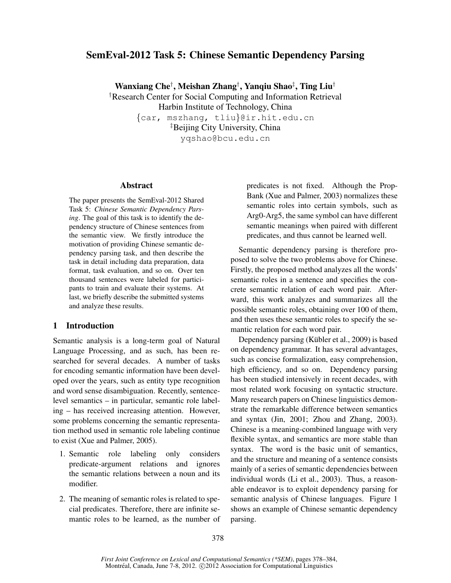# SemEval-2012 Task 5: Chinese Semantic Dependency Parsing

Wanxiang Che† , Meishan Zhang† , Yanqiu Shao‡ , Ting Liu† †Research Center for Social Computing and Information Retrieval

Harbin Institute of Technology, China

{car, mszhang, tliu}@ir.hit.edu.cn ‡Beijing City University, China yqshao@bcu.edu.cn

### Abstract

The paper presents the SemEval-2012 Shared Task 5: *Chinese Semantic Dependency Parsing*. The goal of this task is to identify the dependency structure of Chinese sentences from the semantic view. We firstly introduce the motivation of providing Chinese semantic dependency parsing task, and then describe the task in detail including data preparation, data format, task evaluation, and so on. Over ten thousand sentences were labeled for participants to train and evaluate their systems. At last, we briefly describe the submitted systems and analyze these results.

## 1 Introduction

Semantic analysis is a long-term goal of Natural Language Processing, and as such, has been researched for several decades. A number of tasks for encoding semantic information have been developed over the years, such as entity type recognition and word sense disambiguation. Recently, sentencelevel semantics – in particular, semantic role labeling – has received increasing attention. However, some problems concerning the semantic representation method used in semantic role labeling continue to exist (Xue and Palmer, 2005).

- 1. Semantic role labeling only considers predicate-argument relations and ignores the semantic relations between a noun and its modifier.
- 2. The meaning of semantic roles is related to special predicates. Therefore, there are infinite semantic roles to be learned, as the number of

predicates is not fixed. Although the Prop-Bank (Xue and Palmer, 2003) normalizes these semantic roles into certain symbols, such as Arg0-Arg5, the same symbol can have different semantic meanings when paired with different predicates, and thus cannot be learned well.

Semantic dependency parsing is therefore proposed to solve the two problems above for Chinese. Firstly, the proposed method analyzes all the words' semantic roles in a sentence and specifies the concrete semantic relation of each word pair. Afterward, this work analyzes and summarizes all the possible semantic roles, obtaining over 100 of them, and then uses these semantic roles to specify the semantic relation for each word pair.

Dependency parsing (Kübler et al., 2009) is based on dependency grammar. It has several advantages, such as concise formalization, easy comprehension, high efficiency, and so on. Dependency parsing has been studied intensively in recent decades, with most related work focusing on syntactic structure. Many research papers on Chinese linguistics demonstrate the remarkable difference between semantics and syntax (Jin, 2001; Zhou and Zhang, 2003). Chinese is a meaning-combined language with very flexible syntax, and semantics are more stable than syntax. The word is the basic unit of semantics, and the structure and meaning of a sentence consists mainly of a series of semantic dependencies between individual words (Li et al., 2003). Thus, a reasonable endeavor is to exploit dependency parsing for semantic analysis of Chinese languages. Figure 1 shows an example of Chinese semantic dependency parsing.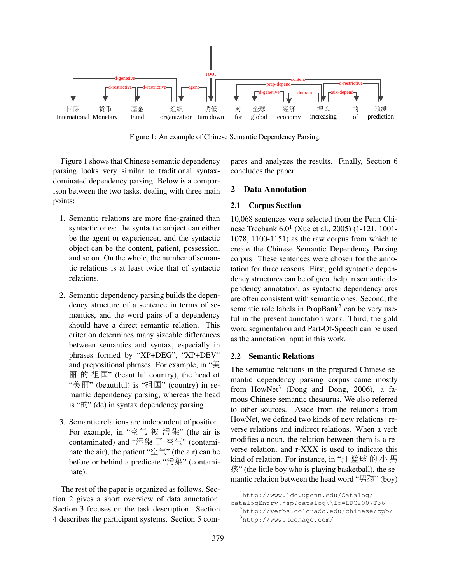

Figure 1: An example of Chinese Semantic Dependency Parsing.

Figure 1 shows that Chinese semantic dependency parsing looks very similar to traditional syntaxdominated dependency parsing. Below is a comparison between the two tasks, dealing with three main points:

- 1. Semantic relations are more fine-grained than syntactic ones: the syntactic subject can either be the agent or experiencer, and the syntactic object can be the content, patient, possession, and so on. On the whole, the number of semantic relations is at least twice that of syntactic relations.
- 2. Semantic dependency parsing builds the dependency structure of a sentence in terms of semantics, and the word pairs of a dependency should have a direct semantic relation. This criterion determines many sizeable differences between semantics and syntax, especially in phrases formed by "XP+DEG", "XP+DEV" and prepositional phrases. For example, in "美  $\overline{m}$  的 祖国" (beautiful country), the head of "美丽" (beautiful) is "祖国" (country) in semantic dependency parsing, whereas the head is "的" (de) in syntax dependency parsing.
- 3. Semantic relations are independent of position. For example, in "空<sup>气</sup> <sup>被</sup> <sup>污</sup>染" (the air is contaminated) and "污<sup>染</sup> <sup>了</sup> 空气" (contaminate the air), the patient " $\tilde{\mathfrak{D}}^{\mathfrak{p}}$ " (the air) can be before or behind a predicate "污染" (contaminate).

The rest of the paper is organized as follows. Section 2 gives a short overview of data annotation. Section 3 focuses on the task description. Section 4 describes the participant systems. Section 5 compares and analyzes the results. Finally, Section 6 concludes the paper.

#### 2 Data Annotation

#### 2.1 Corpus Section

10,068 sentences were selected from the Penn Chinese Treebank 6.0<sup>1</sup> (Xue et al., 2005) (1-121, 1001-1078, 1100-1151) as the raw corpus from which to create the Chinese Semantic Dependency Parsing corpus. These sentences were chosen for the annotation for three reasons. First, gold syntactic dependency structures can be of great help in semantic dependency annotation, as syntactic dependency arcs are often consistent with semantic ones. Second, the semantic role labels in PropBank<sup>2</sup> can be very useful in the present annotation work. Third, the gold word segmentation and Part-Of-Speech can be used as the annotation input in this work.

## 2.2 Semantic Relations

The semantic relations in the prepared Chinese semantic dependency parsing corpus came mostly from HowNet<sup>3</sup> (Dong and Dong, 2006), a famous Chinese semantic thesaurus. We also referred to other sources. Aside from the relations from HowNet, we defined two kinds of new relations: reverse relations and indirect relations. When a verb modifies a noun, the relation between them is a reverse relation, and r-XXX is used to indicate this kind of relation. For instance, in "打 篮<sup>球</sup> <sup>的</sup> 小 男 孩" (the little boy who is playing basketball), the semantic relation between the head word "男孩" (boy)

<sup>1</sup>http://www.ldc.upenn.edu/Catalog/

catalogEntry.jsp?catalog\\Id=LDC2007T36

<sup>2</sup>http://verbs.colorado.edu/chinese/cpb/ <sup>3</sup>http://www.keenage.com/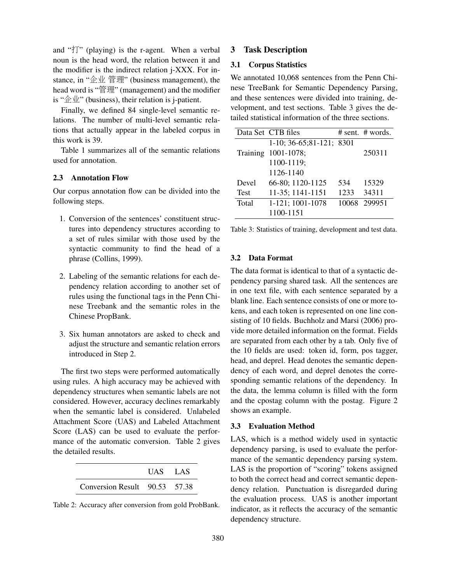and "打" (playing) is the r-agent. When a verbal noun is the head word, the relation between it and the modifier is the indirect relation j-XXX. For instance, in "企<sup>业</sup> 管理" (business management), the head word is "管理" (management) and the modifier is "企业" (business), their relation is j-patient.

Finally, we defined 84 single-level semantic relations. The number of multi-level semantic relations that actually appear in the labeled corpus in this work is 39.

Table 1 summarizes all of the semantic relations used for annotation.

# 2.3 Annotation Flow

Our corpus annotation flow can be divided into the following steps.

- 1. Conversion of the sentences' constituent structures into dependency structures according to a set of rules similar with those used by the syntactic community to find the head of a phrase (Collins, 1999).
- 2. Labeling of the semantic relations for each dependency relation according to another set of rules using the functional tags in the Penn Chinese Treebank and the semantic roles in the Chinese PropBank.
- 3. Six human annotators are asked to check and adjust the structure and semantic relation errors introduced in Step 2.

The first two steps were performed automatically using rules. A high accuracy may be achieved with dependency structures when semantic labels are not considered. However, accuracy declines remarkably when the semantic label is considered. Unlabeled Attachment Score (UAS) and Labeled Attachment Score (LAS) can be used to evaluate the performance of the automatic conversion. Table 2 gives the detailed results.

|                               | UAS LAS |  |
|-------------------------------|---------|--|
| Conversion Result 90.53 57.38 |         |  |

Table 2: Accuracy after conversion from gold ProbBank.

## 3 Task Description

# 3.1 Corpus Statistics

We annotated 10,068 sentences from the Penn Chinese TreeBank for Semantic Dependency Parsing, and these sentences were divided into training, development, and test sections. Table 3 gives the detailed statistical information of the three sections.

|                 | Data Set CTB files           |      | # sent. # words. |
|-----------------|------------------------------|------|------------------|
|                 | $1-10$ ; 36-65; 81-121; 8301 |      |                  |
| <b>Training</b> | 1001-1078;                   |      | 250311           |
|                 | 1100-1119;                   |      |                  |
|                 | 1126-1140                    |      |                  |
| Devel           | 66-80; 1120-1125             | 534  | 15329            |
| <b>Test</b>     | 11-35; 1141-1151             | 1233 | 34311            |
| Total           | 1-121; 1001-1078             |      | 10068 299951     |
|                 | 1100-1151                    |      |                  |

Table 3: Statistics of training, development and test data.

## 3.2 Data Format

The data format is identical to that of a syntactic dependency parsing shared task. All the sentences are in one text file, with each sentence separated by a blank line. Each sentence consists of one or more tokens, and each token is represented on one line consisting of 10 fields. Buchholz and Marsi (2006) provide more detailed information on the format. Fields are separated from each other by a tab. Only five of the 10 fields are used: token id, form, pos tagger, head, and deprel. Head denotes the semantic dependency of each word, and deprel denotes the corresponding semantic relations of the dependency. In the data, the lemma column is filled with the form and the cpostag column with the postag. Figure 2 shows an example.

### 3.3 Evaluation Method

LAS, which is a method widely used in syntactic dependency parsing, is used to evaluate the performance of the semantic dependency parsing system. LAS is the proportion of "scoring" tokens assigned to both the correct head and correct semantic dependency relation. Punctuation is disregarded during the evaluation process. UAS is another important indicator, as it reflects the accuracy of the semantic dependency structure.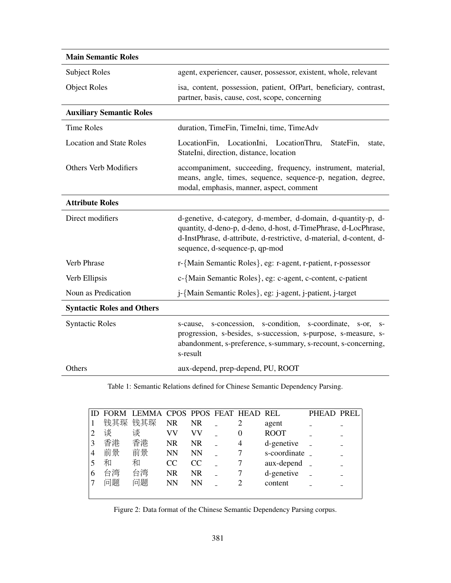| <b>Main Semantic Roles</b>        |                                                                                                                                                                                                                                         |
|-----------------------------------|-----------------------------------------------------------------------------------------------------------------------------------------------------------------------------------------------------------------------------------------|
| <b>Subject Roles</b>              | agent, experiencer, causer, possessor, existent, whole, relevant                                                                                                                                                                        |
| <b>Object Roles</b>               | isa, content, possession, patient, OfPart, beneficiary, contrast,<br>partner, basis, cause, cost, scope, concerning                                                                                                                     |
| <b>Auxiliary Semantic Roles</b>   |                                                                                                                                                                                                                                         |
| <b>Time Roles</b>                 | duration, TimeFin, TimeIni, time, TimeAdv                                                                                                                                                                                               |
| <b>Location and State Roles</b>   | LocationFin, LocationIni, LocationThru,<br>StateFin,<br>state,<br>StateIni, direction, distance, location                                                                                                                               |
| <b>Others Verb Modifiers</b>      | accompaniment, succeeding, frequency, instrument, material,<br>means, angle, times, sequence, sequence-p, negation, degree,<br>modal, emphasis, manner, aspect, comment                                                                 |
| <b>Attribute Roles</b>            |                                                                                                                                                                                                                                         |
| Direct modifiers                  | d-genetive, d-category, d-member, d-domain, d-quantity-p, d-<br>quantity, d-deno-p, d-deno, d-host, d-TimePhrase, d-LocPhrase,<br>d-InstPhrase, d-attribute, d-restrictive, d-material, d-content, d-<br>sequence, d-sequence-p, qp-mod |
| Verb Phrase                       | r-{Main Semantic Roles}, eg: r-agent, r-patient, r-possessor                                                                                                                                                                            |
| Verb Ellipsis                     | c-{Main Semantic Roles}, eg: c-agent, c-content, c-patient                                                                                                                                                                              |
| Noun as Predication               | j-{Main Semantic Roles}, eg: j-agent, j-patient, j-target                                                                                                                                                                               |
| <b>Syntactic Roles and Others</b> |                                                                                                                                                                                                                                         |
| <b>Syntactic Roles</b>            | s-cause, s-concession, s-condition, s-coordinate,<br>$S-OT$ .<br>$S-$<br>progression, s-besides, s-succession, s-purpose, s-measure, s-<br>abandonment, s-preference, s-summary, s-recount, s-concerning,<br>s-result                   |
| Others                            | aux-depend, prep-depend, PU, ROOT                                                                                                                                                                                                       |

Table 1: Semantic Relations defined for Chinese Semantic Dependency Parsing.

|   |     | FORM LEMMA CPOS PPOS FEAT HEAD REL |           |           |   |                | PHEAD PREL |  |
|---|-----|------------------------------------|-----------|-----------|---|----------------|------------|--|
|   | 钱其琛 | 钱其琛                                | <b>NR</b> | <b>NR</b> |   | agent          |            |  |
|   | 谈   | 谈                                  | VV        | VV        | 0 | <b>ROOT</b>    |            |  |
| 3 | 香港  | 香港                                 | <b>NR</b> | NR.       | 4 | d-genetive     |            |  |
| 4 | 前景  | 前景                                 | <b>NN</b> | <b>NN</b> |   | s-coordinate _ |            |  |
|   | 和   | 和                                  | CC.       | CC        |   | aux-depend     |            |  |
| 6 | 台湾  | 台湾                                 | <b>NR</b> | NR.       |   | d-genetive     |            |  |
|   | 问题  | 问题                                 | <b>NN</b> | <b>NN</b> |   | content        |            |  |
|   |     |                                    |           |           |   |                |            |  |

Figure 2: Data format of the Chinese Semantic Dependency Parsing corpus.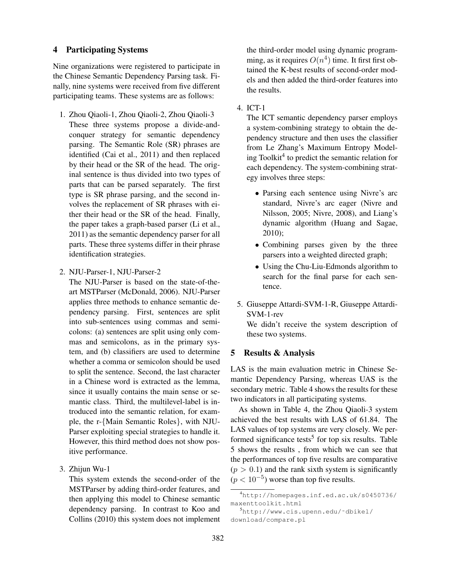## 4 Participating Systems

Nine organizations were registered to participate in the Chinese Semantic Dependency Parsing task. Finally, nine systems were received from five different participating teams. These systems are as follows:

- 1. Zhou Qiaoli-1, Zhou Qiaoli-2, Zhou Qiaoli-3 These three systems propose a divide-andconquer strategy for semantic dependency parsing. The Semantic Role (SR) phrases are identified (Cai et al., 2011) and then replaced by their head or the SR of the head. The original sentence is thus divided into two types of parts that can be parsed separately. The first type is SR phrase parsing, and the second involves the replacement of SR phrases with either their head or the SR of the head. Finally, the paper takes a graph-based parser (Li et al., 2011) as the semantic dependency parser for all parts. These three systems differ in their phrase identification strategies.
- 2. NJU-Parser-1, NJU-Parser-2

The NJU-Parser is based on the state-of-theart MSTParser (McDonald, 2006). NJU-Parser applies three methods to enhance semantic dependency parsing. First, sentences are split into sub-sentences using commas and semicolons: (a) sentences are split using only commas and semicolons, as in the primary system, and (b) classifiers are used to determine whether a comma or semicolon should be used to split the sentence. Second, the last character in a Chinese word is extracted as the lemma, since it usually contains the main sense or semantic class. Third, the multilevel-label is introduced into the semantic relation, for example, the r-{Main Semantic Roles}, with NJU-Parser exploiting special strategies to handle it. However, this third method does not show positive performance.

3. Zhijun Wu-1

This system extends the second-order of the MSTParser by adding third-order features, and then applying this model to Chinese semantic dependency parsing. In contrast to Koo and Collins (2010) this system does not implement the third-order model using dynamic programming, as it requires  $O(n^4)$  time. It first first obtained the K-best results of second-order models and then added the third-order features into the results.

4. ICT-1

The ICT semantic dependency parser employs a system-combining strategy to obtain the dependency structure and then uses the classifier from Le Zhang's Maximum Entropy Modeling Toolkit<sup>4</sup> to predict the semantic relation for each dependency. The system-combining strategy involves three steps:

- Parsing each sentence using Nivre's arc standard, Nivre's arc eager (Nivre and Nilsson, 2005; Nivre, 2008), and Liang's dynamic algorithm (Huang and Sagae, 2010);
- Combining parses given by the three parsers into a weighted directed graph;
- Using the Chu-Liu-Edmonds algorithm to search for the final parse for each sentence.
- 5. Giuseppe Attardi-SVM-1-R, Giuseppe Attardi-SVM-1-rev

We didn't receive the system description of these two systems.

## 5 Results & Analysis

LAS is the main evaluation metric in Chinese Semantic Dependency Parsing, whereas UAS is the secondary metric. Table 4 shows the results for these two indicators in all participating systems.

As shown in Table 4, the Zhou Qiaoli-3 system achieved the best results with LAS of 61.84. The LAS values of top systems are very closely. We performed significance tests<sup>5</sup> for top six results. Table 5 shows the results , from which we can see that the performances of top five results are comparative  $(p > 0.1)$  and the rank sixth system is significantly  $(p < 10^{-5})$  worse than top five results.

<sup>4</sup>http://homepages.inf.ed.ac.uk/s0450736/ maxenttoolkit.html

<sup>5</sup>http://www.cis.upenn.edu/˜dbikel/ download/compare.pl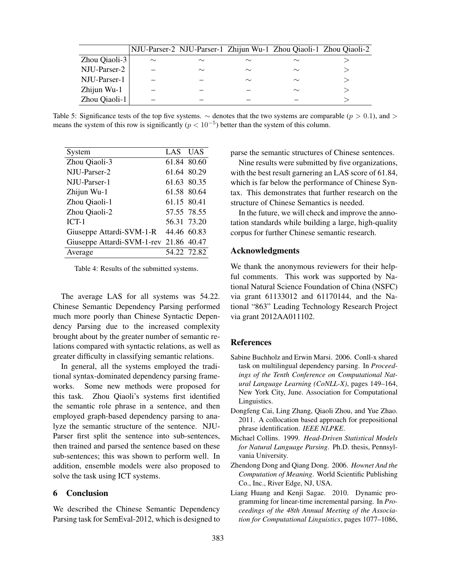|               |        |        |        |        | NJU-Parser-2 NJU-Parser-1 Zhijun Wu-1 Zhou Qiaoli-1 Zhou Qiaoli-2 |
|---------------|--------|--------|--------|--------|-------------------------------------------------------------------|
| Zhou Qiaoli-3 | $\sim$ | $\sim$ | $\sim$ | $\sim$ |                                                                   |
| NJU-Parser-2  |        | $\sim$ | $\sim$ | $\sim$ |                                                                   |
| NJU-Parser-1  |        |        | $\sim$ | $\sim$ |                                                                   |
| Zhijun Wu-1   |        |        |        | $\sim$ |                                                                   |
| Zhou Qiaoli-1 |        |        |        |        |                                                                   |

Table 5: Significance tests of the top five systems.  $\sim$  denotes that the two systems are comparable ( $p > 0.1$ ), and  $>$ means the system of this row is significantly  $(p < 10^{-5})$  better than the system of this column.

| System                                 | LAS UAS     |             |
|----------------------------------------|-------------|-------------|
| Zhou Qiaoli-3                          |             | 61.84 80.60 |
| NII J-Parser-2                         |             | 61.64 80.29 |
| NJU-Parser-1                           |             | 61.63 80.35 |
| Zhijun Wu-1                            |             | 61.58 80.64 |
| Zhou Qiaoli-1                          | 61.15 80.41 |             |
| Zhou Qiaoli-2                          |             | 57.55 78.55 |
| $ICT-1$                                |             | 56.31 73.20 |
| Giuseppe Attardi-SVM-1-R 44.46 60.83   |             |             |
| Giuseppe Attardi-SVM-1-rev 21.86 40.47 |             |             |
| Average                                |             | 54.22 72.82 |

Table 4: Results of the submitted systems.

The average LAS for all systems was 54.22. Chinese Semantic Dependency Parsing performed much more poorly than Chinese Syntactic Dependency Parsing due to the increased complexity brought about by the greater number of semantic relations compared with syntactic relations, as well as greater difficulty in classifying semantic relations.

In general, all the systems employed the traditional syntax-dominated dependency parsing frameworks. Some new methods were proposed for this task. Zhou Qiaoli's systems first identified the semantic role phrase in a sentence, and then employed graph-based dependency parsing to analyze the semantic structure of the sentence. NJU-Parser first split the sentence into sub-sentences, then trained and parsed the sentence based on these sub-sentences; this was shown to perform well. In addition, ensemble models were also proposed to solve the task using ICT systems.

### 6 Conclusion

We described the Chinese Semantic Dependency Parsing task for SemEval-2012, which is designed to parse the semantic structures of Chinese sentences.

Nine results were submitted by five organizations, with the best result garnering an LAS score of 61.84, which is far below the performance of Chinese Syntax. This demonstrates that further research on the structure of Chinese Semantics is needed.

In the future, we will check and improve the annotation standards while building a large, high-quality corpus for further Chinese semantic research.

### Acknowledgments

We thank the anonymous reviewers for their helpful comments. This work was supported by National Natural Science Foundation of China (NSFC) via grant 61133012 and 61170144, and the National "863" Leading Technology Research Project via grant 2012AA011102.

### References

- Sabine Buchholz and Erwin Marsi. 2006. Conll-x shared task on multilingual dependency parsing. In *Proceedings of the Tenth Conference on Computational Natural Language Learning (CoNLL-X)*, pages 149–164, New York City, June. Association for Computational Linguistics.
- Dongfeng Cai, Ling Zhang, Qiaoli Zhou, and Yue Zhao. 2011. A collocation based approach for prepositional phrase identification. *IEEE NLPKE*.
- Michael Collins. 1999. *Head-Driven Statistical Models for Natural Language Parsing*. Ph.D. thesis, Pennsylvania University.
- Zhendong Dong and Qiang Dong. 2006. *Hownet And the Computation of Meaning*. World Scientific Publishing Co., Inc., River Edge, NJ, USA.
- Liang Huang and Kenji Sagae. 2010. Dynamic programming for linear-time incremental parsing. In *Proceedings of the 48th Annual Meeting of the Association for Computational Linguistics*, pages 1077–1086,